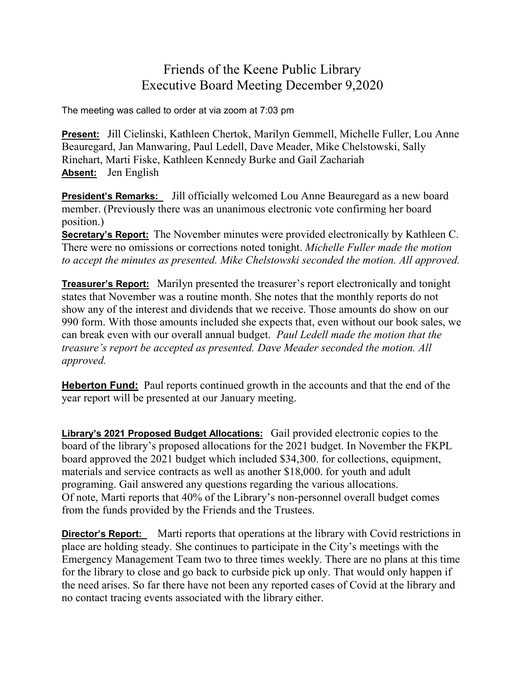## Friends of the Keene Public Library Executive Board Meeting December 9,2020

The meeting was called to order at via zoom at 7:03 pm

**Present:** Jill Cielinski, Kathleen Chertok, Marilyn Gemmell, Michelle Fuller, Lou Anne Beauregard, Jan Manwaring, Paul Ledell, Dave Meader, Mike Chelstowski, Sally Rinehart, Marti Fiske, Kathleen Kennedy Burke and Gail Zachariah **Absent:** Jen English

**President's Remarks:** Jill officially welcomed Lou Anne Beauregard as a new board member. (Previously there was an unanimous electronic vote confirming her board position.)

**Secretary's Report:** The November minutes were provided electronically by Kathleen C. There were no omissions or corrections noted tonight. *Michelle Fuller made the motion to accept the minutes as presented. Mike Chelstowski seconded the motion. All approved.*

**Treasurer's Report:** Marilyn presented the treasurer's report electronically and tonight states that November was a routine month. She notes that the monthly reports do not show any of the interest and dividends that we receive. Those amounts do show on our 990 form. With those amounts included she expects that, even without our book sales, we can break even with our overall annual budget. *Paul Ledell made the motion that the treasure's report be accepted as presented. Dave Meader seconded the motion. All approved.*

**Heberton Fund:** Paul reports continued growth in the accounts and that the end of the year report will be presented at our January meeting.

**Library's 2021 Proposed Budget Allocations:** Gail provided electronic copies to the board of the library's proposed allocations for the 2021 budget. In November the FKPL board approved the 2021 budget which included \$34,300. for collections, equipment, materials and service contracts as well as another \$18,000. for youth and adult programing. Gail answered any questions regarding the various allocations. Of note, Marti reports that 40% of the Library's non-personnel overall budget comes from the funds provided by the Friends and the Trustees.

**Director's Report:** Marti reports that operations at the library with Covid restrictions in place are holding steady. She continues to participate in the City's meetings with the Emergency Management Team two to three times weekly. There are no plans at this time for the library to close and go back to curbside pick up only. That would only happen if the need arises. So far there have not been any reported cases of Covid at the library and no contact tracing events associated with the library either.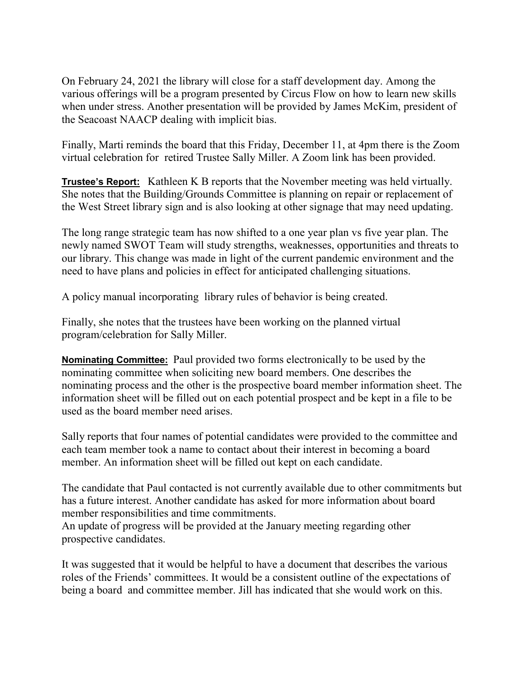On February 24, 2021 the library will close for a staff development day. Among the various offerings will be a program presented by Circus Flow on how to learn new skills when under stress. Another presentation will be provided by James McKim, president of the Seacoast NAACP dealing with implicit bias.

Finally, Marti reminds the board that this Friday, December 11, at 4pm there is the Zoom virtual celebration for retired Trustee Sally Miller. A Zoom link has been provided.

**Trustee's Report:** Kathleen K B reports that the November meeting was held virtually. She notes that the Building/Grounds Committee is planning on repair or replacement of the West Street library sign and is also looking at other signage that may need updating.

The long range strategic team has now shifted to a one year plan vs five year plan. The newly named SWOT Team will study strengths, weaknesses, opportunities and threats to our library. This change was made in light of the current pandemic environment and the need to have plans and policies in effect for anticipated challenging situations.

A policy manual incorporating library rules of behavior is being created.

Finally, she notes that the trustees have been working on the planned virtual program/celebration for Sally Miller.

**Nominating Committee:** Paul provided two forms electronically to be used by the nominating committee when soliciting new board members. One describes the nominating process and the other is the prospective board member information sheet. The information sheet will be filled out on each potential prospect and be kept in a file to be used as the board member need arises.

Sally reports that four names of potential candidates were provided to the committee and each team member took a name to contact about their interest in becoming a board member. An information sheet will be filled out kept on each candidate.

The candidate that Paul contacted is not currently available due to other commitments but has a future interest. Another candidate has asked for more information about board member responsibilities and time commitments.

An update of progress will be provided at the January meeting regarding other prospective candidates.

It was suggested that it would be helpful to have a document that describes the various roles of the Friends' committees. It would be a consistent outline of the expectations of being a board and committee member. Jill has indicated that she would work on this.